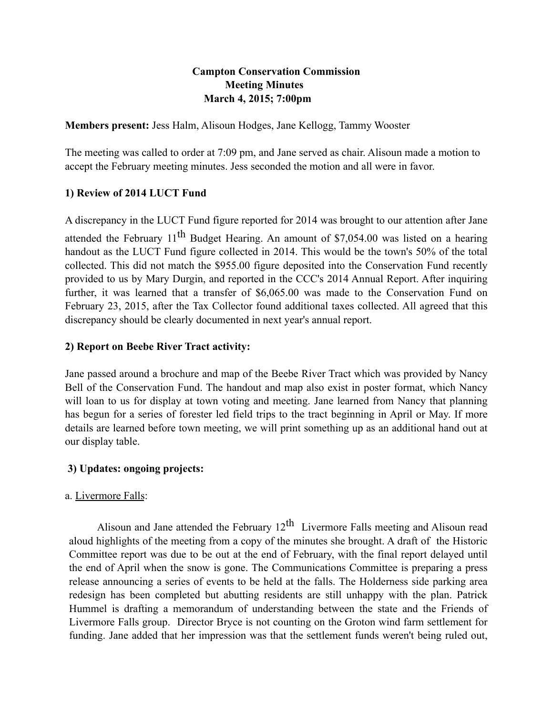### **Campton Conservation Commission Meeting Minutes March 4, 2015; 7:00pm**

**Members present:** Jess Halm, Alisoun Hodges, Jane Kellogg, Tammy Wooster

The meeting was called to order at 7:09 pm, and Jane served as chair. Alisoun made a motion to accept the February meeting minutes. Jess seconded the motion and all were in favor.

#### **1) Review of 2014 LUCT Fund**

A discrepancy in the LUCT Fund figure reported for 2014 was brought to our attention after Jane attended the February  $11^{th}$  Budget Hearing. An amount of \$7,054.00 was listed on a hearing handout as the LUCT Fund figure collected in 2014. This would be the town's 50% of the total collected. This did not match the \$955.00 figure deposited into the Conservation Fund recently provided to us by Mary Durgin, and reported in the CCC's 2014 Annual Report. After inquiring further, it was learned that a transfer of \$6,065.00 was made to the Conservation Fund on February 23, 2015, after the Tax Collector found additional taxes collected. All agreed that this discrepancy should be clearly documented in next year's annual report.

#### **2) Report on Beebe River Tract activity:**

Jane passed around a brochure and map of the Beebe River Tract which was provided by Nancy Bell of the Conservation Fund. The handout and map also exist in poster format, which Nancy will loan to us for display at town voting and meeting. Jane learned from Nancy that planning has begun for a series of forester led field trips to the tract beginning in April or May. If more details are learned before town meeting, we will print something up as an additional hand out at our display table.

#### **3) Updates: ongoing projects:**

#### a. Livermore Falls:

Alisoun and Jane attended the February  $12<sup>th</sup>$  Livermore Falls meeting and Alisoun read aloud highlights of the meeting from a copy of the minutes she brought. A draft of the Historic Committee report was due to be out at the end of February, with the final report delayed until the end of April when the snow is gone. The Communications Committee is preparing a press release announcing a series of events to be held at the falls. The Holderness side parking area redesign has been completed but abutting residents are still unhappy with the plan. Patrick Hummel is drafting a memorandum of understanding between the state and the Friends of Livermore Falls group. Director Bryce is not counting on the Groton wind farm settlement for funding. Jane added that her impression was that the settlement funds weren't being ruled out,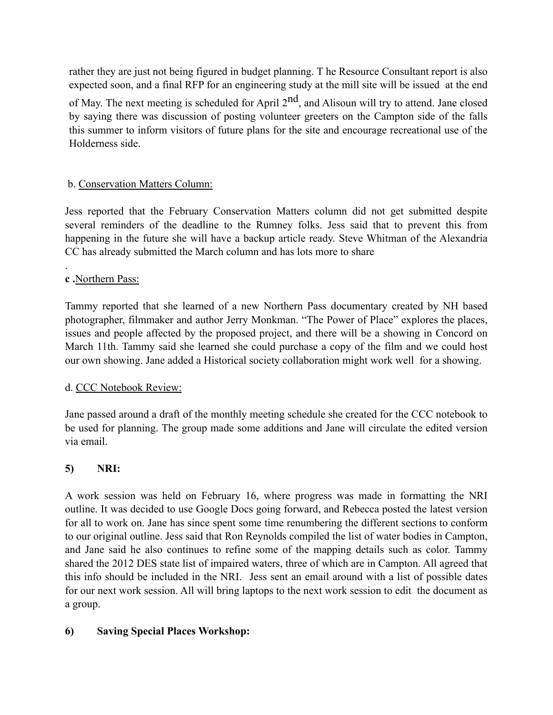rather they are just not being figured in budget planning. T he Resource Consultant report is also expected soon, and a final RFP for an engineering study at the mill site will be issued at the end of May. The next meeting is scheduled for April  $2<sup>nd</sup>$ , and Alisoun will try to attend. Jane closed by saying there was discussion of posting volunteer greeters on the Campton side of the falls this summer to inform visitors of future plans for the site and encourage recreational use of the Holderness side.

## b. Conservation Matters Column:

Jess reported that the February Conservation Matters column did not get submitted despite several reminders of the deadline to the Rumney folks. Jess said that to prevent this from happening in the future she will have a backup article ready. Steve Whitman of the Alexandria CC has already submitted the March column and has lots more to share

#### **c .**Northern Pass:

.

Tammy reported that she learned of a new Northern Pass documentary created by NH based photographer, filmmaker and author Jerry Monkman. "The Power of Place" explores the places, issues and people affected by the proposed project, and there will be a showing in Concord on March 11th. Tammy said she learned she could purchase a copy of the film and we could host our own showing. Jane added a Historical society collaboration might work well for a showing.

#### d. CCC Notebook Review:

Jane passed around a draft of the monthly meeting schedule she created for the CCC notebook to be used for planning. The group made some additions and Jane will circulate the edited version via email.

#### **5) NRI:**

A work session was held on February 16, where progress was made in formatting the NRI outline. It was decided to use Google Docs going forward, and Rebecca posted the latest version for all to work on. Jane has since spent some time renumbering the different sections to conform to our original outline. Jess said that Ron Reynolds compiled the list of water bodies in Campton, and Jane said he also continues to refine some of the mapping details such as color. Tammy shared the 2012 DES state list of impaired waters, three of which are in Campton. All agreed that this info should be included in the NRI. Jess sent an email around with a list of possible dates for our next work session. All will bring laptops to the next work session to edit the document as a group.

#### **6) Saving Special Places Workshop:**